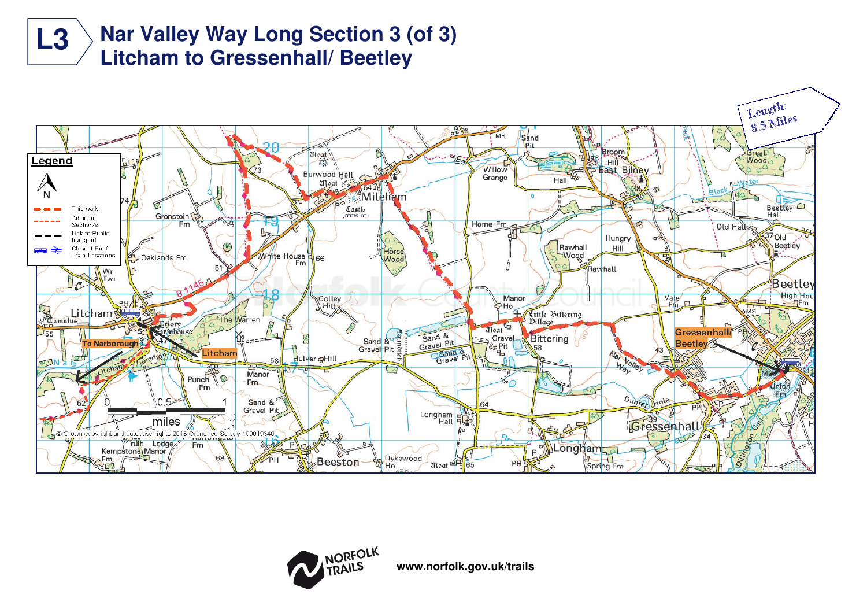





**www.norfolk.gov.uk/trails**